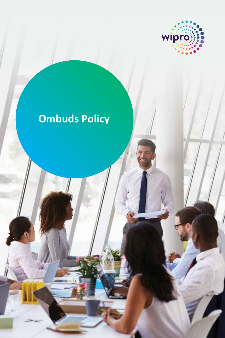

# **Ombuds Policy**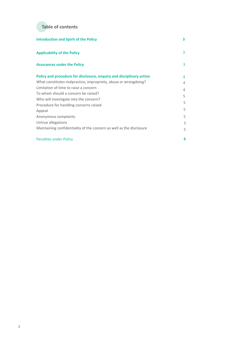

| <b>Introduction and Spirit of the Policy</b>                         | 3 |
|----------------------------------------------------------------------|---|
| <b>Applicability of the Policy</b>                                   | 3 |
| <b>Assurances under the Policy</b>                                   | 3 |
| Policy and procedure for disclosure, enquiry and disciplinary action | 4 |
| What constitutes malpractice, impropriety, abuse or wrongdoing?      | 4 |
| Limitation of time to raise a concern                                | 4 |
| To whom should a concern be raised?                                  | 5 |
| Who will investigate into the concern?                               |   |
| Procedure for handling concerns raised                               | 5 |
| Appeal                                                               | 5 |
| Anonymous complaints                                                 | 5 |
| Untrue allegations                                                   | 5 |
| Maintaining confidentiality of the concern as well as the disclosure | 5 |
| <b>Penalties under Policy</b>                                        | 6 |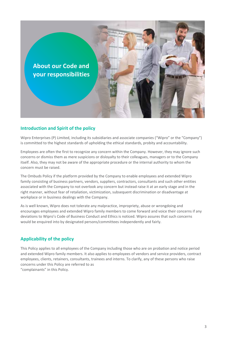<span id="page-2-0"></span>

# **Introduction and Spirit of the policy**

Wipro Enterprises (P) Limited, including its subsidiaries and associate companies ("Wipro" or the "Company") is committed to the highest standards of upholding the ethical standards, probity and accountability.

Employees are often the first to recognize any concern within the Company. However, they may ignore such concerns or dismiss them as mere suspicions or disloyalty to their colleagues, managers or to the Company itself. Also, they may not be aware of the appropriate procedure or the internal authority to whom the concern must be raised.

The Ombuds Policy if the platform provided by the Company to enable employees and extended Wipro family consisting of business partners, vendors, suppliers, contractors, consultants and such other entities associated with the Company to not overlook any concern but instead raise it at an early stage and in the right manner, without fear of retaliation, victimization, subsequent discrimination or disadvantage at workplace or in business dealings with the Company.

As is well known, Wipro does not tolerate any malpractice, impropriety, abuse or wrongdoing and encourages employees and extended Wipro family members to come forward and voice their concerns if any deviations to Wipro's Code of Business Conduct and Ethics is noticed. Wipro assures that such concerns would be enquired into by designated persons/committees independently and fairly.

# **Applicability of the policy**

This Policy applies to all employees of the Company including those who are on probation and notice period and extended Wipro family members. It also applies to employees of vendors and service providers, contract employees, clients, retainers, consultants, trainees and interns. To clarify, any of these persons who raise concerns under this Policy are referred to as "complainants" in this Policy.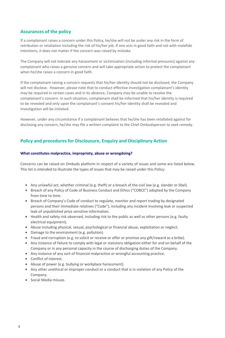# **Assurances of the policy**

If a complainant raises a concern under this Policy, he/she will not be under any risk in the form of retribution or retaliation including the risk of his/her job. If one acts in good faith and not with malafide intentions, it does not matter if the concern was raised by mistake.

The Company will not tolerate any harassment or victimization (including informal pressures) against any complainant who raises a genuine concern and will take appropriate action to protect the complainant when he/she raises a concern in good faith.

If the complainant raising a concern requests that his/her identity should not be disclosed, the Company will not disclose. However, please note that to conduct effective investigation complainant's identity may be required in certain cases and in its absence, Company may be unable to resolve the complainant's concern. In such situation, complainant shall be informed that his/her identity is required to be revealed and only upon the complainant's consent his/her identity shall be revealed and investigation will be initiated.

However, under any circumstance if a complainant believes that he/she has been retaliated against for disclosing any concern, he/she may file a written complaint to the Chief Ombudsperson to seek remedy.

# **Policy and procedures for Disclousure, Enquiry and Disciplinary Action**

#### **What constitutes malpractice, impropriety, abuse or wrongdoing?**

Concerns can be raised on Ombuds platform in respect of a variety of issues and some are listed below. This list is intended to illustrate the types of issues that may be raised under this Policy:

- Any unlawful act, whether criminal (e.g. theft) or a breach of the civil law (e.g. slander or libel).
- Breach of any Policy of Code of Business Conduct and Ethics ("COBCE") adopted by the Company from time to time.
- Breach of Company's Code of conduct to regulate, monitor and report trading by designated persons and their immediate relatives ("Code"), including any incident involving leak or suspected leak of unpublished price sensitive information.
- Health and safety risk observed, including risk to the public as well as other persons (e.g. faulty electrical equipment).
- Abuse including physical, sexual, psychological or financial abuse, exploitation or neglect.
- Damage to the environment (e.g. pollution).
- Fraud and corruption (e.g. to solicit or receive or offer or promise any gift/reward as a bribe).
- Any instance of failure to comply with legal or statutory obligation either for and on behalf of the Company or in any personal capacity in the course of discharging duties of the Company.
- Any instance of any sort of financial malpractice or wrongful accounting practice.
- Conflict of interest.
- Abuse of power (e.g. bullying or workplace harassment).
- Any other unethical or improper conduct or a conduct that is in violation of any Policy of the Company.
- Social Media misuse.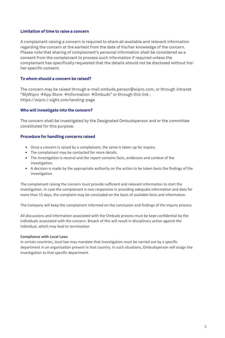## **Limitation of time to raise a concern**

A complainant raising a concern is required to share all available and relevant information regarding the concern at the earliest from the date of his/her knowledge of the concern. Please note that sharing of complainant's personal information shall be considered as a consent from the complainant to process such information if required unless the complainant has specifically requested that the details should not be disclosed without his/ her specific consent.

### **To whom should a concern be raised?**

The concern may be raised through e-mail ombuds.person@wipro.com, or through intranet "MyWipro  $\rightarrow$ App Store  $\rightarrow$ Information  $\rightarrow$ Ombuds" or through this link : https://wipro.i-sight.com/landing-page

### **Who will investigate into the concern?**

The concern shall be investigated by the Designated Ombudsperson and or the committee constituted for this purpose.

## **Procedure for handling concerns raised**

- Once a concern is raised by a complainant, the same is taken up for inquiry.
- The complainant may be contacted for more details.
- The investigation is neutral and the report contains facts, evidences and context of the investigation.
- A decision is made by the appropriate authority on the action to be taken basis the findings of the investigation.

The complainant raising the concern must provide sufficient and relevant information to start the investigation. In case the complainant is non-responsive in providing adequate information and data for more than 15 days, the complaint may be concluded on the basis of available facts and information.

The Company will keep the complainant informed on the conclusion and findings of the inquiry process

All discussions and information associated with the Ombuds process must be kept confidential by the individuals associated with the concern. Breach of this will result in disciplinary action against the individual, which may lead to termination

### **Compliance with Local Laws**

In certain countries, local law may mandate that investigation must be carried out by a specific department in an organization present in that country. In such situations, Ombudsperson will assign the investigation to that specific department.